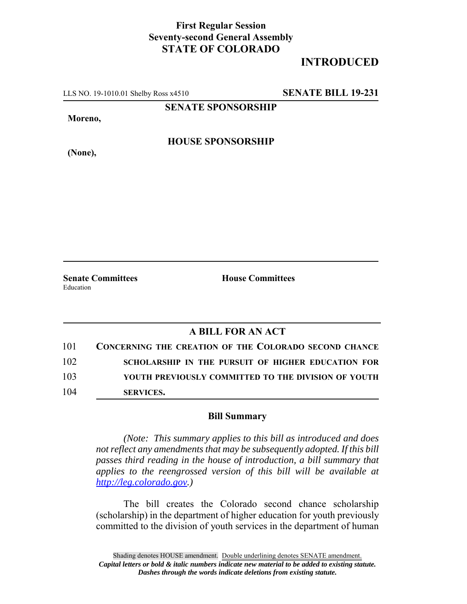## **First Regular Session Seventy-second General Assembly STATE OF COLORADO**

## **INTRODUCED**

LLS NO. 19-1010.01 Shelby Ross x4510 **SENATE BILL 19-231**

**SENATE SPONSORSHIP**

**Moreno,**

**HOUSE SPONSORSHIP**

**(None),**

**Senate Committees House Committees** Education

## **A BILL FOR AN ACT**

| 101 | <b>CONCERNING THE CREATION OF THE COLORADO SECOND CHANCE</b> |
|-----|--------------------------------------------------------------|
| 102 | SCHOLARSHIP IN THE PURSUIT OF HIGHER EDUCATION FOR           |
| 103 | YOUTH PREVIOUSLY COMMITTED TO THE DIVISION OF YOUTH          |
| 104 | <b>SERVICES.</b>                                             |

## **Bill Summary**

*(Note: This summary applies to this bill as introduced and does not reflect any amendments that may be subsequently adopted. If this bill passes third reading in the house of introduction, a bill summary that applies to the reengrossed version of this bill will be available at http://leg.colorado.gov.)*

The bill creates the Colorado second chance scholarship (scholarship) in the department of higher education for youth previously committed to the division of youth services in the department of human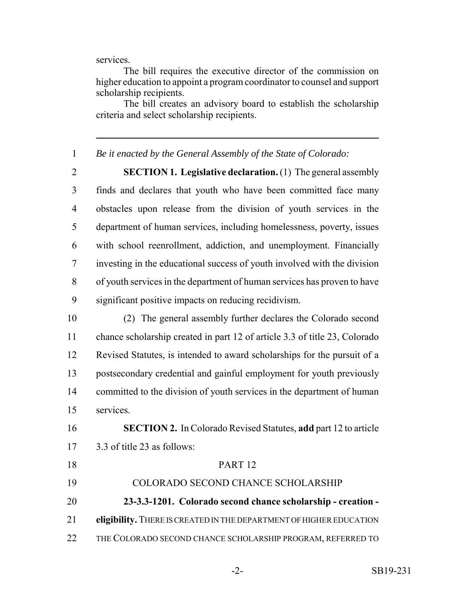services.

The bill requires the executive director of the commission on higher education to appoint a program coordinator to counsel and support scholarship recipients.

The bill creates an advisory board to establish the scholarship criteria and select scholarship recipients.

*Be it enacted by the General Assembly of the State of Colorado:*

 **SECTION 1. Legislative declaration.** (1) The general assembly finds and declares that youth who have been committed face many obstacles upon release from the division of youth services in the department of human services, including homelessness, poverty, issues with school reenrollment, addiction, and unemployment. Financially investing in the educational success of youth involved with the division of youth services in the department of human services has proven to have significant positive impacts on reducing recidivism.

 (2) The general assembly further declares the Colorado second chance scholarship created in part 12 of article 3.3 of title 23, Colorado Revised Statutes, is intended to award scholarships for the pursuit of a postsecondary credential and gainful employment for youth previously 14 committed to the division of youth services in the department of human services.

 **SECTION 2.** In Colorado Revised Statutes, **add** part 12 to article 3.3 of title 23 as follows:

 PART 12 COLORADO SECOND CHANCE SCHOLARSHIP **23-3.3-1201. Colorado second chance scholarship - creation - eligibility.** THERE IS CREATED IN THE DEPARTMENT OF HIGHER EDUCATION THE COLORADO SECOND CHANCE SCHOLARSHIP PROGRAM, REFERRED TO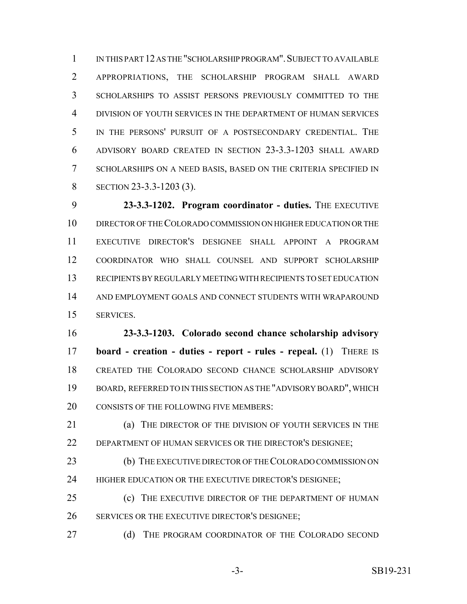IN THIS PART 12 AS THE "SCHOLARSHIP PROGRAM".SUBJECT TO AVAILABLE APPROPRIATIONS, THE SCHOLARSHIP PROGRAM SHALL AWARD SCHOLARSHIPS TO ASSIST PERSONS PREVIOUSLY COMMITTED TO THE DIVISION OF YOUTH SERVICES IN THE DEPARTMENT OF HUMAN SERVICES IN THE PERSONS' PURSUIT OF A POSTSECONDARY CREDENTIAL. THE ADVISORY BOARD CREATED IN SECTION 23-3.3-1203 SHALL AWARD SCHOLARSHIPS ON A NEED BASIS, BASED ON THE CRITERIA SPECIFIED IN 8 SECTION 23-3.3-1203 (3).

 **23-3.3-1202. Program coordinator - duties.** THE EXECUTIVE DIRECTOR OF THE COLORADO COMMISSION ON HIGHER EDUCATION OR THE EXECUTIVE DIRECTOR'S DESIGNEE SHALL APPOINT A PROGRAM COORDINATOR WHO SHALL COUNSEL AND SUPPORT SCHOLARSHIP RECIPIENTS BY REGULARLY MEETING WITH RECIPIENTS TO SET EDUCATION AND EMPLOYMENT GOALS AND CONNECT STUDENTS WITH WRAPAROUND SERVICES.

 **23-3.3-1203. Colorado second chance scholarship advisory board - creation - duties - report - rules - repeal.** (1) THERE IS CREATED THE COLORADO SECOND CHANCE SCHOLARSHIP ADVISORY BOARD, REFERRED TO IN THIS SECTION AS THE "ADVISORY BOARD", WHICH 20 CONSISTS OF THE FOLLOWING FIVE MEMBERS:

 (a) THE DIRECTOR OF THE DIVISION OF YOUTH SERVICES IN THE DEPARTMENT OF HUMAN SERVICES OR THE DIRECTOR'S DESIGNEE;

**(b)** THE EXECUTIVE DIRECTOR OF THE COLORADO COMMISSION ON 24 HIGHER EDUCATION OR THE EXECUTIVE DIRECTOR'S DESIGNEE;

**(c)** THE EXECUTIVE DIRECTOR OF THE DEPARTMENT OF HUMAN SERVICES OR THE EXECUTIVE DIRECTOR'S DESIGNEE;

27 (d) THE PROGRAM COORDINATOR OF THE COLORADO SECOND

-3- SB19-231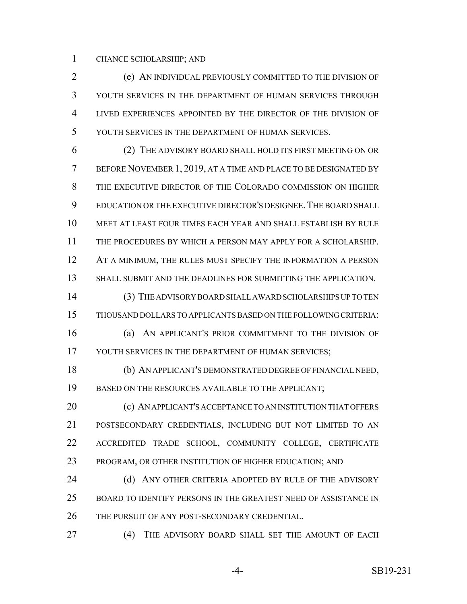CHANCE SCHOLARSHIP; AND

 (e) AN INDIVIDUAL PREVIOUSLY COMMITTED TO THE DIVISION OF YOUTH SERVICES IN THE DEPARTMENT OF HUMAN SERVICES THROUGH LIVED EXPERIENCES APPOINTED BY THE DIRECTOR OF THE DIVISION OF YOUTH SERVICES IN THE DEPARTMENT OF HUMAN SERVICES.

 (2) THE ADVISORY BOARD SHALL HOLD ITS FIRST MEETING ON OR BEFORE NOVEMBER 1, 2019, AT A TIME AND PLACE TO BE DESIGNATED BY THE EXECUTIVE DIRECTOR OF THE COLORADO COMMISSION ON HIGHER EDUCATION OR THE EXECUTIVE DIRECTOR'S DESIGNEE.THE BOARD SHALL MEET AT LEAST FOUR TIMES EACH YEAR AND SHALL ESTABLISH BY RULE THE PROCEDURES BY WHICH A PERSON MAY APPLY FOR A SCHOLARSHIP. 12 AT A MINIMUM, THE RULES MUST SPECIFY THE INFORMATION A PERSON SHALL SUBMIT AND THE DEADLINES FOR SUBMITTING THE APPLICATION.

 (3) THE ADVISORY BOARD SHALL AWARD SCHOLARSHIPS UP TO TEN THOUSAND DOLLARS TO APPLICANTS BASED ON THE FOLLOWING CRITERIA:

 (a) AN APPLICANT'S PRIOR COMMITMENT TO THE DIVISION OF 17 YOUTH SERVICES IN THE DEPARTMENT OF HUMAN SERVICES;

 (b) AN APPLICANT'S DEMONSTRATED DEGREE OF FINANCIAL NEED, BASED ON THE RESOURCES AVAILABLE TO THE APPLICANT;

**(c) AN APPLICANT'S ACCEPTANCE TO AN INSTITUTION THAT OFFERS**  POSTSECONDARY CREDENTIALS, INCLUDING BUT NOT LIMITED TO AN ACCREDITED TRADE SCHOOL, COMMUNITY COLLEGE, CERTIFICATE PROGRAM, OR OTHER INSTITUTION OF HIGHER EDUCATION; AND

24 (d) ANY OTHER CRITERIA ADOPTED BY RULE OF THE ADVISORY BOARD TO IDENTIFY PERSONS IN THE GREATEST NEED OF ASSISTANCE IN THE PURSUIT OF ANY POST-SECONDARY CREDENTIAL.

(4) THE ADVISORY BOARD SHALL SET THE AMOUNT OF EACH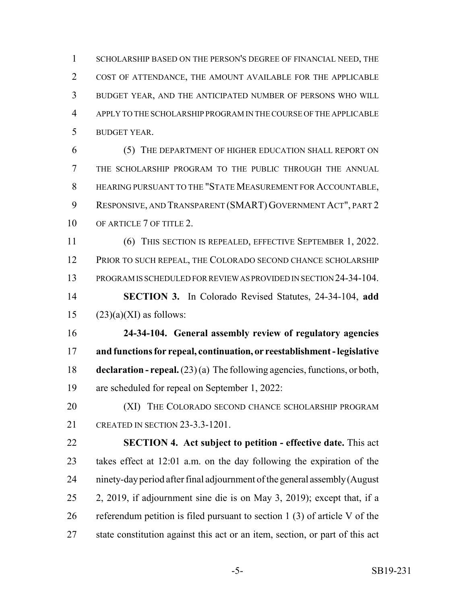SCHOLARSHIP BASED ON THE PERSON'S DEGREE OF FINANCIAL NEED, THE COST OF ATTENDANCE, THE AMOUNT AVAILABLE FOR THE APPLICABLE BUDGET YEAR, AND THE ANTICIPATED NUMBER OF PERSONS WHO WILL APPLY TO THE SCHOLARSHIP PROGRAM IN THE COURSE OF THE APPLICABLE BUDGET YEAR.

 (5) THE DEPARTMENT OF HIGHER EDUCATION SHALL REPORT ON THE SCHOLARSHIP PROGRAM TO THE PUBLIC THROUGH THE ANNUAL HEARING PURSUANT TO THE "STATE MEASUREMENT FOR ACCOUNTABLE, RESPONSIVE, AND TRANSPARENT (SMART) GOVERNMENT ACT", PART 2 10 OF ARTICLE 7 OF TITLE 2.

 (6) THIS SECTION IS REPEALED, EFFECTIVE SEPTEMBER 1, 2022. PRIOR TO SUCH REPEAL, THE COLORADO SECOND CHANCE SCHOLARSHIP PROGRAM IS SCHEDULED FOR REVIEW AS PROVIDED IN SECTION 24-34-104.

 **SECTION 3.** In Colorado Revised Statutes, 24-34-104, **add** 15  $(23)(a)(XI)$  as follows:

 **24-34-104. General assembly review of regulatory agencies and functions for repeal, continuation, or reestablishment - legislative declaration - repeal.** (23) (a) The following agencies, functions, or both, are scheduled for repeal on September 1, 2022:

20 (XI) THE COLORADO SECOND CHANCE SCHOLARSHIP PROGRAM CREATED IN SECTION 23-3.3-1201.

 **SECTION 4. Act subject to petition - effective date.** This act takes effect at 12:01 a.m. on the day following the expiration of the ninety-day period after final adjournment of the general assembly (August 2, 2019, if adjournment sine die is on May 3, 2019); except that, if a referendum petition is filed pursuant to section 1 (3) of article V of the state constitution against this act or an item, section, or part of this act